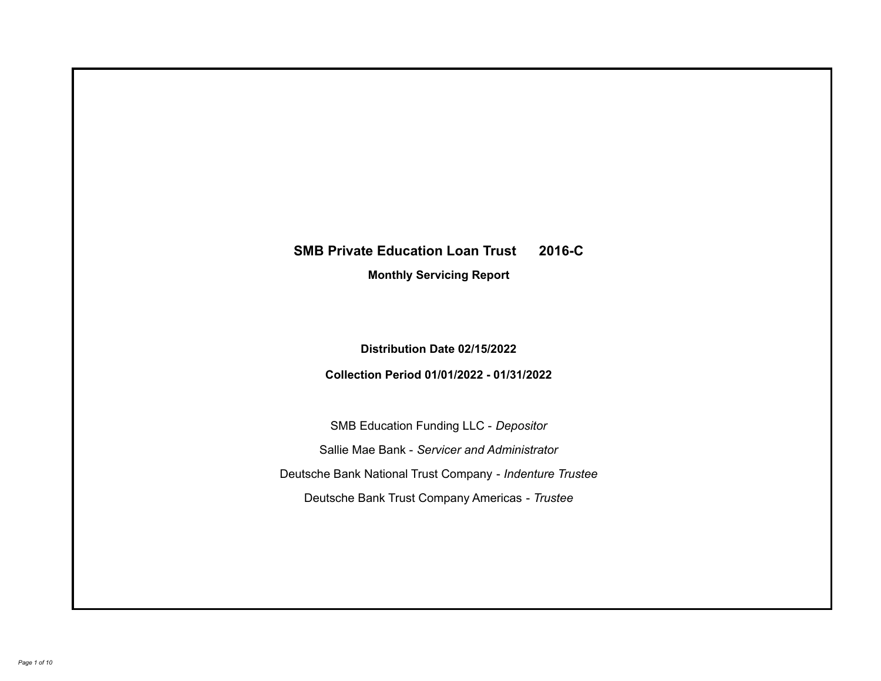# **SMB Private Education Loan Trust 2016-C**

**Monthly Servicing Report**

**Distribution Date 02/15/2022**

**Collection Period 01/01/2022 - 01/31/2022**

SMB Education Funding LLC - *Depositor* Sallie Mae Bank - *Servicer and Administrator* Deutsche Bank National Trust Company - *Indenture Trustee* Deutsche Bank Trust Company Americas - *Trustee*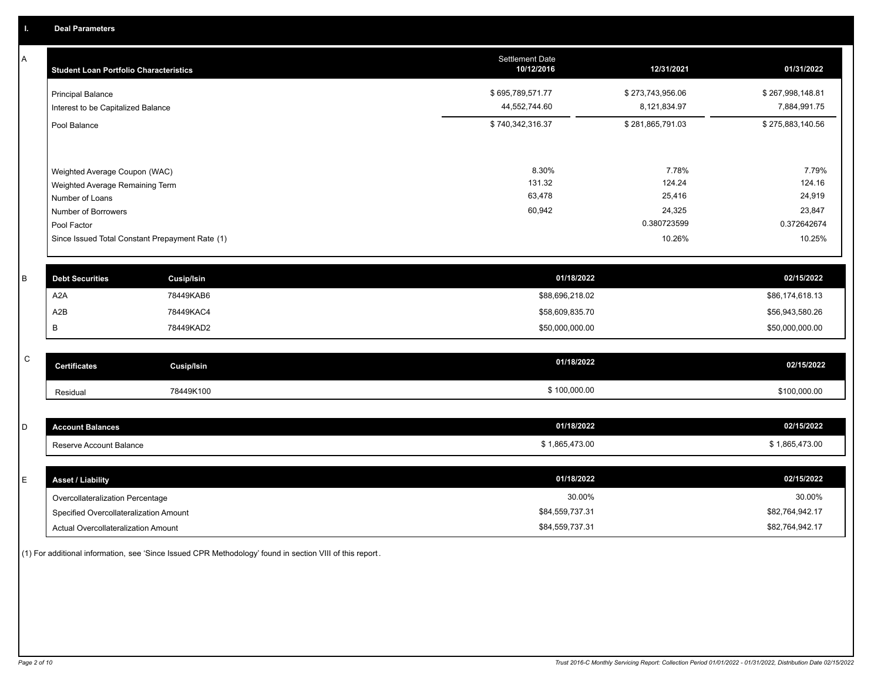A

| A | <b>Student Loan Portfolio Characteristics</b>                  |                                                 | <b>Settlement Date</b><br>10/12/2016 | 12/31/2021                       | 01/31/2022                       |
|---|----------------------------------------------------------------|-------------------------------------------------|--------------------------------------|----------------------------------|----------------------------------|
|   | <b>Principal Balance</b><br>Interest to be Capitalized Balance |                                                 | \$695,789,571.77<br>44,552,744.60    | \$273,743,956.06<br>8,121,834.97 | \$267,998,148.81<br>7,884,991.75 |
|   | Pool Balance                                                   |                                                 | \$740,342,316.37                     | \$281,865,791.03                 | \$275,883,140.56                 |
|   | Weighted Average Coupon (WAC)                                  |                                                 | 8.30%                                | 7.78%                            | 7.79%                            |
|   | Weighted Average Remaining Term<br>Number of Loans             |                                                 | 131.32<br>63,478                     | 124.24<br>25,416                 | 124.16<br>24,919                 |
|   | Number of Borrowers<br>Pool Factor                             |                                                 | 60,942                               | 24,325<br>0.380723599            | 23,847<br>0.372642674            |
|   |                                                                | Since Issued Total Constant Prepayment Rate (1) |                                      | 10.26%                           | 10.25%                           |
| в | <b>Debt Securities</b>                                         | <b>Cusip/Isin</b>                               | 01/18/2022                           |                                  | 02/15/2022                       |
|   | A <sub>2</sub> A                                               | 78449KAB6                                       | \$88,696,218.02                      |                                  | \$86,174,618.13                  |

|     | Cusip/Isin<br><b>Certificates</b> | 01/18/2022      | 02/15/2022      |
|-----|-----------------------------------|-----------------|-----------------|
|     |                                   |                 |                 |
|     | 78449KAD2                         | \$50,000,000.00 | \$50,000,000.00 |
| A2B | 78449KAC4                         | \$58,609,835.70 | \$56,943,580.26 |

 $\,$  C  $\,$ 

| <b>Account Balances</b> | 01/18/2022     | 02/15/2022     |
|-------------------------|----------------|----------------|
| Reserve Account Balance | \$1,865,473.00 | \$1,865,473.00 |
|                         |                |                |

Residual 78449K100 \$ 100,000.00 \$100,000.00

| <b>Asset / Liability</b>               | 01/18/2022      | 02/15/2022      |
|----------------------------------------|-----------------|-----------------|
| Overcollateralization Percentage       | 30.00%          | 30.00%          |
| Specified Overcollateralization Amount | \$84.559.737.31 | \$82,764,942.17 |
| Actual Overcollateralization Amount    | \$84,559,737.31 | \$82,764,942.17 |

(1) For additional information, see 'Since Issued CPR Methodology' found in section VIII of this report .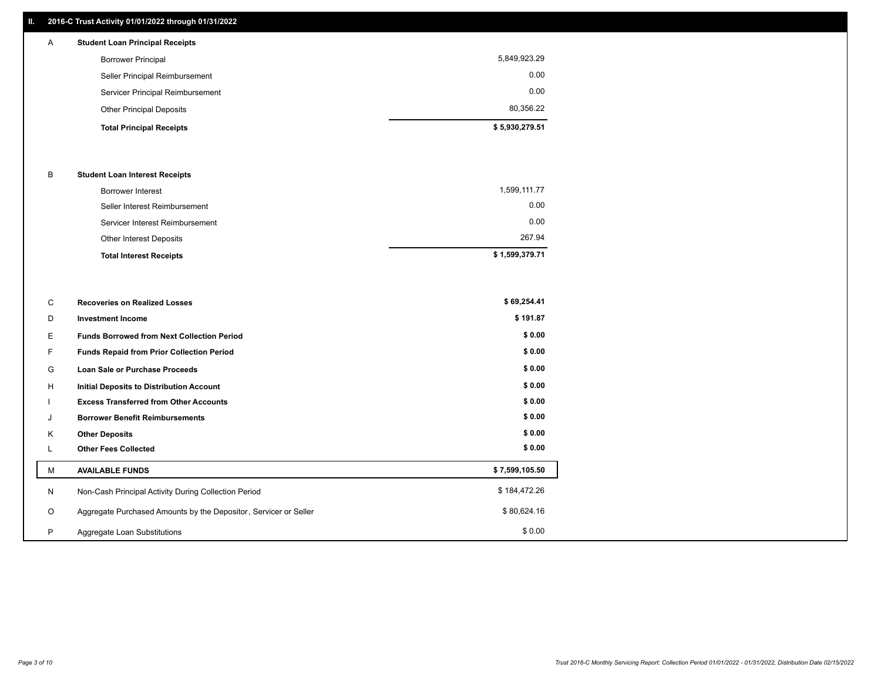## **II. 2016-C Trust Activity 01/01/2022 through 01/31/2022**

## **Total Principal Receipts \$ 5,930,279.51**  Other Principal Deposits 80,356.22 Servicer Principal Reimbursement 0.00 Seller Principal Reimbursement 0.00 Borrower Principal 5,849,923.29 A **Student Loan Principal Receipts**

### B **Student Loan Interest Receipts**

| <b>Total Interest Receipts</b>  | \$1,599,379.71 |
|---------------------------------|----------------|
| Other Interest Deposits         | 267.94         |
| Servicer Interest Reimbursement | 0.00           |
| Seller Interest Reimbursement   | 0.00           |
| Borrower Interest               | 1,599,111.77   |

| C       | <b>Recoveries on Realized Losses</b>                             | \$69,254.41    |
|---------|------------------------------------------------------------------|----------------|
| D       | <b>Investment Income</b>                                         | \$191.87       |
| E.      | <b>Funds Borrowed from Next Collection Period</b>                | \$0.00         |
|         | Funds Repaid from Prior Collection Period                        | \$0.00         |
| G       | Loan Sale or Purchase Proceeds                                   | \$0.00         |
| H       | <b>Initial Deposits to Distribution Account</b>                  | \$0.00         |
|         | <b>Excess Transferred from Other Accounts</b>                    | \$0.00         |
| J       | <b>Borrower Benefit Reimbursements</b>                           | \$0.00         |
| K       | <b>Other Deposits</b>                                            | \$0.00         |
|         | <b>Other Fees Collected</b>                                      | \$0.00         |
| M       | <b>AVAILABLE FUNDS</b>                                           | \$7,599,105.50 |
| N       | Non-Cash Principal Activity During Collection Period             | \$184,472.26   |
| $\circ$ | Aggregate Purchased Amounts by the Depositor, Servicer or Seller | \$80,624.16    |
| P       | Aggregate Loan Substitutions                                     | \$0.00         |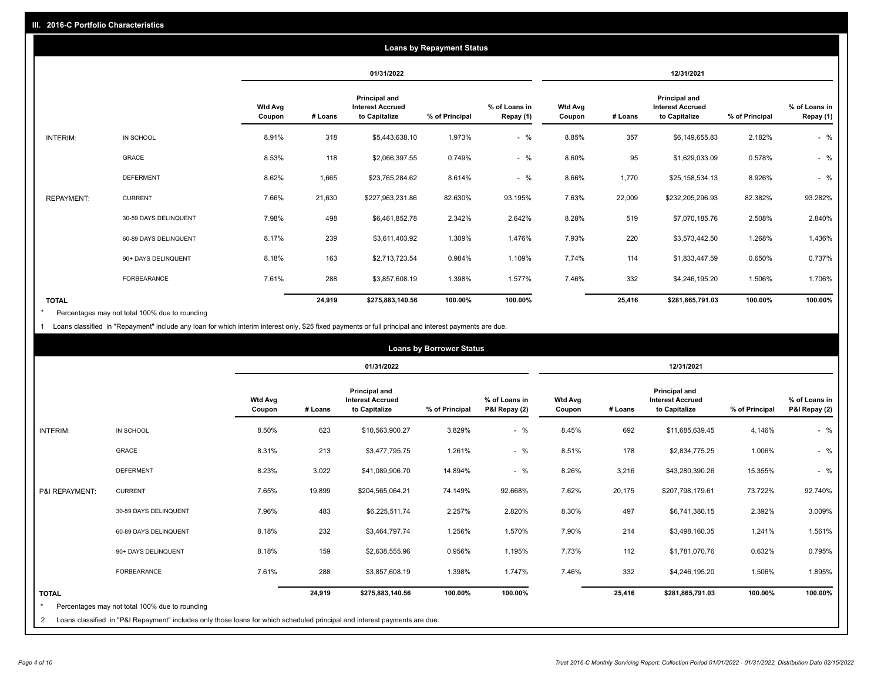|                   | <b>Loans by Repayment Status</b> |                          |         |                                                           |                |                            |                          |         |                                                           |                |                            |
|-------------------|----------------------------------|--------------------------|---------|-----------------------------------------------------------|----------------|----------------------------|--------------------------|---------|-----------------------------------------------------------|----------------|----------------------------|
|                   |                                  |                          |         | 01/31/2022                                                |                |                            | 12/31/2021               |         |                                                           |                |                            |
|                   |                                  | <b>Wtd Avg</b><br>Coupon | # Loans | Principal and<br><b>Interest Accrued</b><br>to Capitalize | % of Principal | % of Loans in<br>Repay (1) | <b>Wtd Avg</b><br>Coupon | # Loans | Principal and<br><b>Interest Accrued</b><br>to Capitalize | % of Principal | % of Loans in<br>Repay (1) |
| INTERIM:          | IN SCHOOL                        | 8.91%                    | 318     | \$5,443,638.10                                            | 1.973%         | $-$ %                      | 8.85%                    | 357     | \$6,149,655.83                                            | 2.182%         | $-$ %                      |
|                   | GRACE                            | 8.53%                    | 118     | \$2,066,397.55                                            | 0.749%         | $-$ %                      | 8.60%                    | 95      | \$1,629,033.09                                            | 0.578%         | $-$ %                      |
|                   | <b>DEFERMENT</b>                 | 8.62%                    | 1,665   | \$23,765,284.62                                           | 8.614%         | $-$ %                      | 8.66%                    | 1,770   | \$25,158,534.13                                           | 8.926%         | $-$ %                      |
| <b>REPAYMENT:</b> | <b>CURRENT</b>                   | 7.66%                    | 21,630  | \$227,963,231.86                                          | 82.630%        | 93.195%                    | 7.63%                    | 22,009  | \$232,205,296.93                                          | 82.382%        | 93.282%                    |
|                   | 30-59 DAYS DELINQUENT            | 7.98%                    | 498     | \$6,461,852.78                                            | 2.342%         | 2.642%                     | 8.28%                    | 519     | \$7,070,185.76                                            | 2.508%         | 2.840%                     |
|                   | 60-89 DAYS DELINQUENT            | 8.17%                    | 239     | \$3,611,403.92                                            | 1.309%         | 1.476%                     | 7.93%                    | 220     | \$3,573,442.50                                            | 1.268%         | 1.436%                     |
|                   | 90+ DAYS DELINQUENT              | 8.18%                    | 163     | \$2,713,723.54                                            | 0.984%         | 1.109%                     | 7.74%                    | 114     | \$1,833,447.59                                            | 0.650%         | 0.737%                     |
|                   | FORBEARANCE                      | 7.61%                    | 288     | \$3,857,608.19                                            | 1.398%         | 1.577%                     | 7.46%                    | 332     | \$4,246,195.20                                            | 1.506%         | 1.706%                     |
| <b>TOTAL</b>      |                                  |                          | 24,919  | \$275,883,140.56                                          | 100.00%        | 100.00%                    |                          | 25,416  | \$281,865,791.03                                          | 100.00%        | 100.00%                    |

Percentages may not total 100% due to rounding \*

1 Loans classified in "Repayment" include any loan for which interim interest only, \$25 fixed payments or full principal and interest payments are due.

| <b>Loans by Borrower Status</b> |                                                                                                                                                                              |                          |         |                                                           |                |                                |                          |         |                                                                  |                |                                |
|---------------------------------|------------------------------------------------------------------------------------------------------------------------------------------------------------------------------|--------------------------|---------|-----------------------------------------------------------|----------------|--------------------------------|--------------------------|---------|------------------------------------------------------------------|----------------|--------------------------------|
|                                 |                                                                                                                                                                              |                          |         | 01/31/2022                                                |                |                                |                          |         | 12/31/2021                                                       |                |                                |
|                                 |                                                                                                                                                                              | <b>Wtd Avg</b><br>Coupon | # Loans | Principal and<br><b>Interest Accrued</b><br>to Capitalize | % of Principal | % of Loans in<br>P&I Repay (2) | <b>Wtd Avg</b><br>Coupon | # Loans | <b>Principal and</b><br><b>Interest Accrued</b><br>to Capitalize | % of Principal | % of Loans in<br>P&I Repay (2) |
| <b>INTERIM:</b>                 | IN SCHOOL                                                                                                                                                                    | 8.50%                    | 623     | \$10,563,900.27                                           | 3.829%         | $-$ %                          | 8.45%                    | 692     | \$11,685,639.45                                                  | 4.146%         | $-$ %                          |
|                                 | <b>GRACE</b>                                                                                                                                                                 | 8.31%                    | 213     | \$3,477,795.75                                            | 1.261%         | $-$ %                          | 8.51%                    | 178     | \$2,834,775.25                                                   | 1.006%         | $-$ %                          |
|                                 | <b>DEFERMENT</b>                                                                                                                                                             | 8.23%                    | 3,022   | \$41,089,906.70                                           | 14.894%        | $-$ %                          | 8.26%                    | 3,216   | \$43,280,390.26                                                  | 15.355%        | $-$ %                          |
| P&I REPAYMENT:                  | <b>CURRENT</b>                                                                                                                                                               | 7.65%                    | 19,899  | \$204,565,064.21                                          | 74.149%        | 92.668%                        | 7.62%                    | 20,175  | \$207,798,179.61                                                 | 73.722%        | 92.740%                        |
|                                 | 30-59 DAYS DELINQUENT                                                                                                                                                        | 7.96%                    | 483     | \$6,225,511.74                                            | 2.257%         | 2.820%                         | 8.30%                    | 497     | \$6,741,380.15                                                   | 2.392%         | 3.009%                         |
|                                 | 60-89 DAYS DELINQUENT                                                                                                                                                        | 8.18%                    | 232     | \$3,464,797.74                                            | 1.256%         | 1.570%                         | 7.90%                    | 214     | \$3,498,160.35                                                   | 1.241%         | 1.561%                         |
|                                 | 90+ DAYS DELINQUENT                                                                                                                                                          | 8.18%                    | 159     | \$2,638,555.96                                            | 0.956%         | 1.195%                         | 7.73%                    | 112     | \$1,781,070.76                                                   | 0.632%         | 0.795%                         |
|                                 | <b>FORBEARANCE</b>                                                                                                                                                           | 7.61%                    | 288     | \$3,857,608.19                                            | 1.398%         | 1.747%                         | 7.46%                    | 332     | \$4,246,195.20                                                   | 1.506%         | 1.895%                         |
| <b>TOTAL</b><br>$\star$<br>2    | Percentages may not total 100% due to rounding<br>Loans classified in "P&I Repayment" includes only those loans for which scheduled principal and interest payments are due. |                          | 24,919  | \$275,883,140.56                                          | 100.00%        | 100.00%                        |                          | 25,416  | \$281,865,791.03                                                 | 100.00%        | 100.00%                        |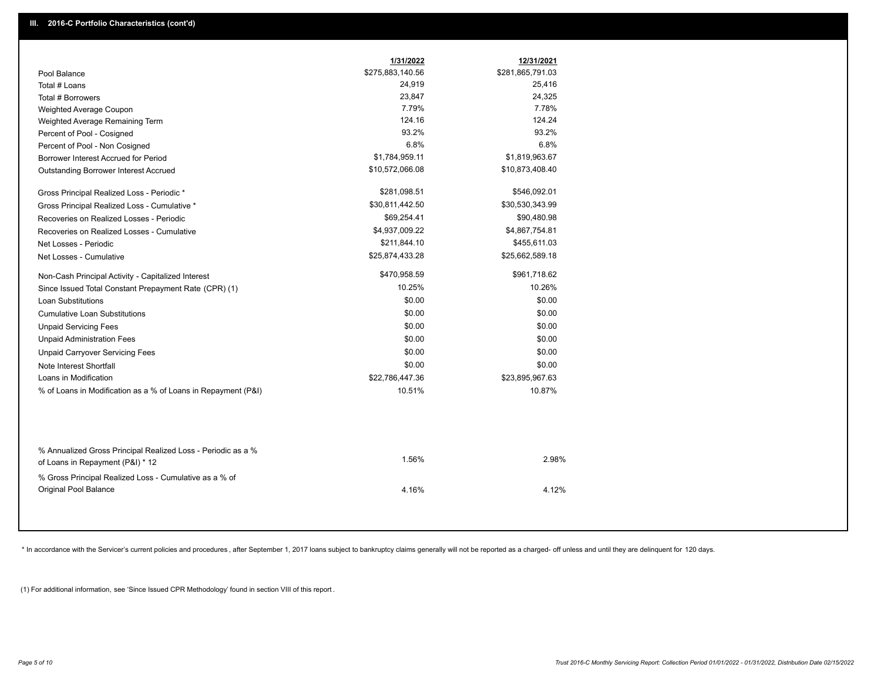|                                                                                                  | 1/31/2022        | 12/31/2021       |  |
|--------------------------------------------------------------------------------------------------|------------------|------------------|--|
| Pool Balance                                                                                     | \$275,883,140.56 | \$281,865,791.03 |  |
| Total # Loans                                                                                    | 24,919           | 25,416           |  |
| Total # Borrowers                                                                                | 23,847           | 24,325           |  |
| Weighted Average Coupon                                                                          | 7.79%            | 7.78%            |  |
| Weighted Average Remaining Term                                                                  | 124.16           | 124.24           |  |
| Percent of Pool - Cosigned                                                                       | 93.2%            | 93.2%            |  |
| Percent of Pool - Non Cosigned                                                                   | 6.8%             | 6.8%             |  |
| Borrower Interest Accrued for Period                                                             | \$1,784,959.11   | \$1,819,963.67   |  |
| Outstanding Borrower Interest Accrued                                                            | \$10,572,066.08  | \$10,873,408.40  |  |
| Gross Principal Realized Loss - Periodic *                                                       | \$281,098.51     | \$546,092.01     |  |
| Gross Principal Realized Loss - Cumulative *                                                     | \$30,811,442.50  | \$30,530,343.99  |  |
| Recoveries on Realized Losses - Periodic                                                         | \$69,254.41      | \$90,480.98      |  |
| Recoveries on Realized Losses - Cumulative                                                       | \$4,937,009.22   | \$4,867,754.81   |  |
| Net Losses - Periodic                                                                            | \$211,844.10     | \$455,611.03     |  |
| Net Losses - Cumulative                                                                          | \$25,874,433.28  | \$25,662,589.18  |  |
| Non-Cash Principal Activity - Capitalized Interest                                               | \$470,958.59     | \$961,718.62     |  |
| Since Issued Total Constant Prepayment Rate (CPR) (1)                                            | 10.25%           | 10.26%           |  |
| <b>Loan Substitutions</b>                                                                        | \$0.00           | \$0.00           |  |
| <b>Cumulative Loan Substitutions</b>                                                             | \$0.00           | \$0.00           |  |
| <b>Unpaid Servicing Fees</b>                                                                     | \$0.00           | \$0.00           |  |
| <b>Unpaid Administration Fees</b>                                                                | \$0.00           | \$0.00           |  |
| <b>Unpaid Carryover Servicing Fees</b>                                                           | \$0.00           | \$0.00           |  |
| Note Interest Shortfall                                                                          | \$0.00           | \$0.00           |  |
| Loans in Modification                                                                            | \$22,786,447.36  | \$23,895,967.63  |  |
| % of Loans in Modification as a % of Loans in Repayment (P&I)                                    | 10.51%           | 10.87%           |  |
|                                                                                                  |                  |                  |  |
| % Annualized Gross Principal Realized Loss - Periodic as a %<br>of Loans in Repayment (P&I) * 12 | 1.56%            | 2.98%            |  |
| % Gross Principal Realized Loss - Cumulative as a % of<br><b>Original Pool Balance</b>           | 4.16%            | 4.12%            |  |

\* In accordance with the Servicer's current policies and procedures, after September 1, 2017 loans subject to bankruptcy claims generally will not be reported as a charged- off unless and until they are delinquent for 120

(1) For additional information, see 'Since Issued CPR Methodology' found in section VIII of this report .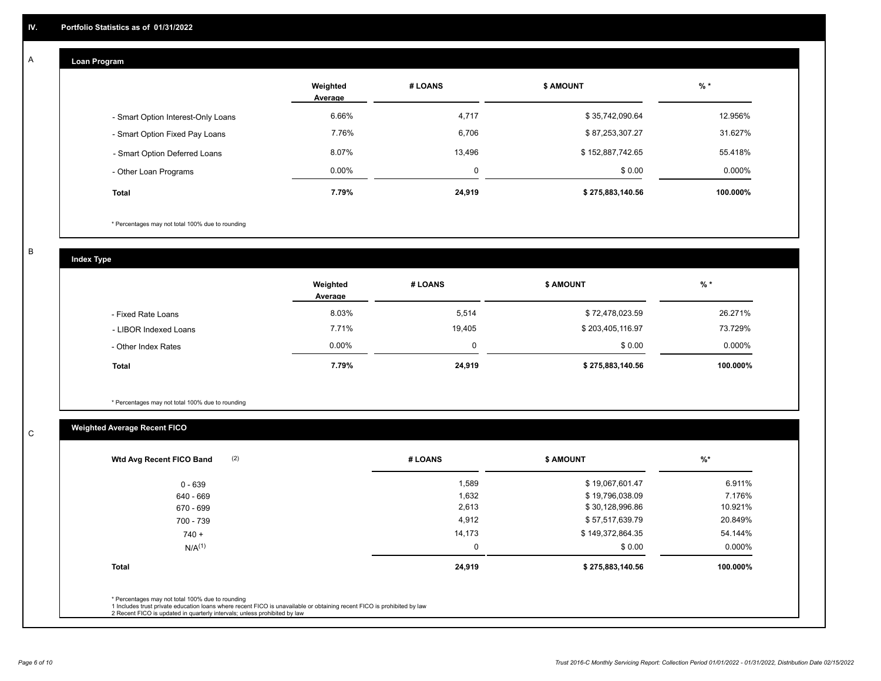#### **Loan Program**  A

|                                    | Weighted<br>Average | # LOANS  | <b>\$ AMOUNT</b> | % *       |
|------------------------------------|---------------------|----------|------------------|-----------|
| - Smart Option Interest-Only Loans | 6.66%               | 4,717    | \$35,742,090.64  | 12.956%   |
| - Smart Option Fixed Pay Loans     | 7.76%               | 6,706    | \$87,253,307.27  | 31.627%   |
| - Smart Option Deferred Loans      | 8.07%               | 13,496   | \$152,887,742.65 | 55.418%   |
| - Other Loan Programs              | $0.00\%$            | $\Omega$ | \$0.00           | $0.000\%$ |
| <b>Total</b>                       | 7.79%               | 24,919   | \$275,883,140.56 | 100.000%  |

\* Percentages may not total 100% due to rounding

B

C

**Index Type**

|                       | Weighted<br>Average | # LOANS  | <b>\$ AMOUNT</b> | $%$ *    |
|-----------------------|---------------------|----------|------------------|----------|
| - Fixed Rate Loans    | 8.03%               | 5,514    | \$72,478,023.59  | 26.271%  |
| - LIBOR Indexed Loans | 7.71%               | 19,405   | \$203,405,116.97 | 73.729%  |
| - Other Index Rates   | $0.00\%$            | $\Omega$ | \$0.00           | 0.000%   |
| <b>Total</b>          | 7.79%               | 24,919   | \$275,883,140.56 | 100.000% |

\* Percentages may not total 100% due to rounding

## **Weighted Average Recent FICO**

| 1,589<br>1,632<br>2,613 | \$19,067,601.47<br>\$19,796,038.09 | 6.911%<br>7.176% |
|-------------------------|------------------------------------|------------------|
|                         |                                    |                  |
|                         |                                    |                  |
|                         | \$30,128,996.86                    | 10.921%          |
| 4,912                   | \$57,517,639.79                    | 20.849%          |
| 14,173                  | \$149,372,864.35                   | 54.144%          |
| 0                       | \$0.00                             | 0.000%           |
| 24,919                  | \$275,883,140.56                   | 100.000%         |
|                         |                                    |                  |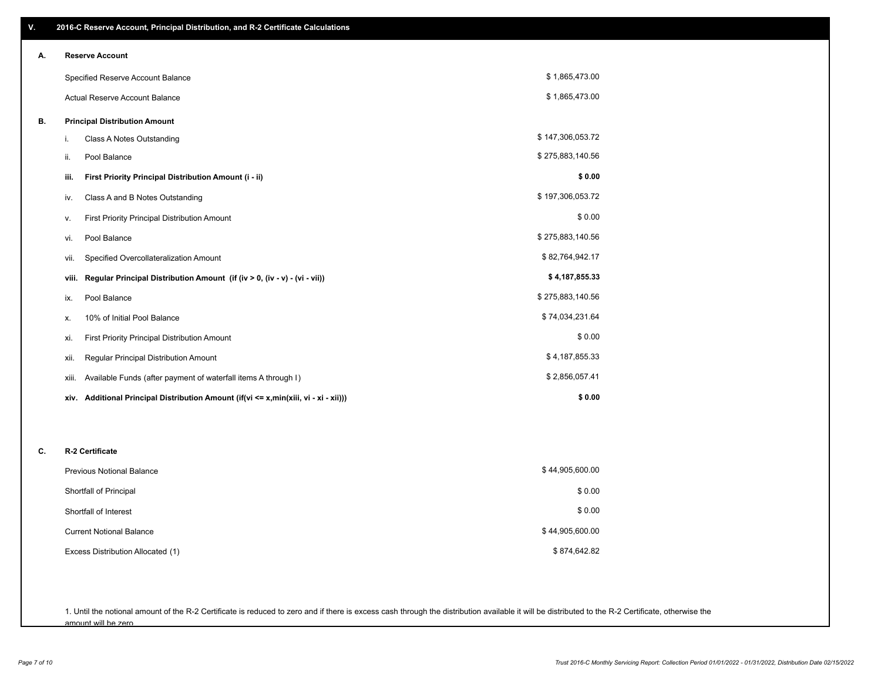| ٧. | 2016-C Reserve Account, Principal Distribution, and R-2 Certificate Calculations        |                  |  |  |
|----|-----------------------------------------------------------------------------------------|------------------|--|--|
| А. | <b>Reserve Account</b>                                                                  |                  |  |  |
|    | Specified Reserve Account Balance                                                       | \$1,865,473.00   |  |  |
|    | Actual Reserve Account Balance                                                          | \$1,865,473.00   |  |  |
| В. | <b>Principal Distribution Amount</b>                                                    |                  |  |  |
|    | Class A Notes Outstanding<br>i.                                                         | \$147,306,053.72 |  |  |
|    | Pool Balance<br>ii.                                                                     | \$275,883,140.56 |  |  |
|    | First Priority Principal Distribution Amount (i - ii)<br>iii.                           | \$0.00           |  |  |
|    | Class A and B Notes Outstanding<br>iv.                                                  | \$197,306,053.72 |  |  |
|    | <b>First Priority Principal Distribution Amount</b><br>ν.                               | \$0.00           |  |  |
|    | Pool Balance<br>vi.                                                                     | \$275,883,140.56 |  |  |
|    | Specified Overcollateralization Amount<br>vii.                                          | \$82,764,942.17  |  |  |
|    | Regular Principal Distribution Amount (if (iv > 0, (iv - v) - (vi - vii))<br>viii.      | \$4,187,855.33   |  |  |
|    | Pool Balance<br>ix.                                                                     | \$275,883,140.56 |  |  |
|    | 10% of Initial Pool Balance<br>х.                                                       | \$74,034,231.64  |  |  |
|    | First Priority Principal Distribution Amount<br>xi.                                     | \$0.00           |  |  |
|    | Regular Principal Distribution Amount<br>xii.                                           | \$4,187,855.33   |  |  |
|    | Available Funds (after payment of waterfall items A through I)<br>xiii.                 | \$2,856,057.41   |  |  |
|    | Additional Principal Distribution Amount (if(vi <= x,min(xiii, vi - xi - xii)))<br>xiv. | \$0.00           |  |  |
|    |                                                                                         |                  |  |  |
| C. | R-2 Certificate                                                                         |                  |  |  |
|    | <b>Previous Notional Balance</b>                                                        | \$44,905,600.00  |  |  |
|    | Shortfall of Principal                                                                  | \$0.00           |  |  |
|    | Shortfall of Interest                                                                   | \$0.00           |  |  |
|    | <b>Current Notional Balance</b>                                                         | \$44,905,600.00  |  |  |
|    | Excess Distribution Allocated (1)                                                       | \$874,642.82     |  |  |
|    |                                                                                         |                  |  |  |

1. Until the notional amount of the R-2 Certificate is reduced to zero and if there is excess cash through the distribution available it will be distributed to the R-2 Certificate, otherwise the amount will be zero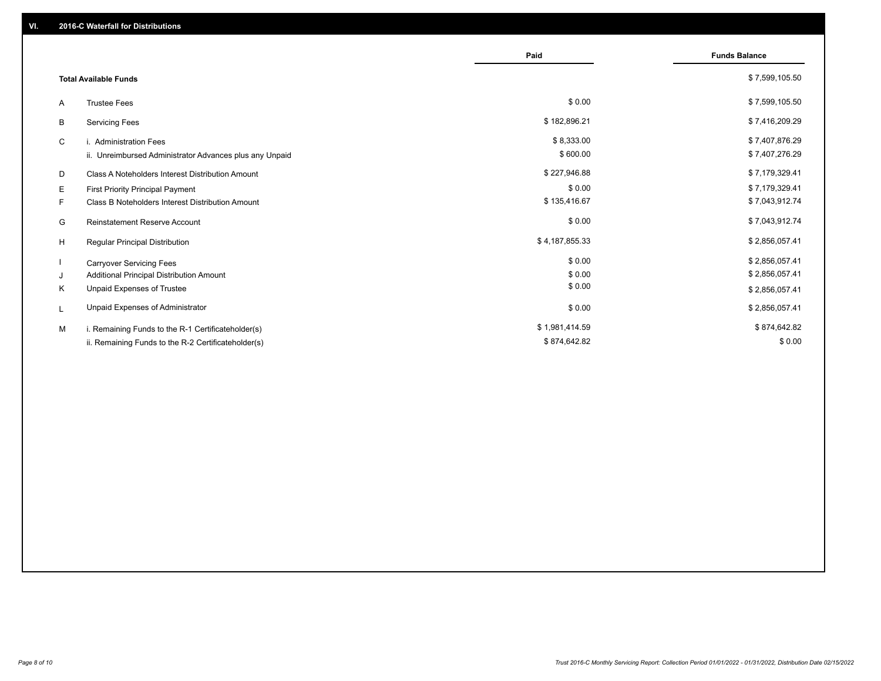|                                                         | Paid           | <b>Funds Balance</b> |
|---------------------------------------------------------|----------------|----------------------|
| <b>Total Available Funds</b>                            |                | \$7,599,105.50       |
| <b>Trustee Fees</b><br>A                                | \$0.00         | \$7,599,105.50       |
| В<br><b>Servicing Fees</b>                              | \$182,896.21   | \$7,416,209.29       |
| i. Administration Fees<br>C                             | \$8,333.00     | \$7,407,876.29       |
| ii. Unreimbursed Administrator Advances plus any Unpaid | \$600.00       | \$7,407,276.29       |
| D<br>Class A Noteholders Interest Distribution Amount   | \$227,946.88   | \$7,179,329.41       |
| Е<br><b>First Priority Principal Payment</b>            | \$0.00         | \$7,179,329.41       |
| Class B Noteholders Interest Distribution Amount<br>F.  | \$135,416.67   | \$7,043,912.74       |
| <b>Reinstatement Reserve Account</b><br>G               | \$0.00         | \$7,043,912.74       |
| H<br><b>Regular Principal Distribution</b>              | \$4,187,855.33 | \$2,856,057.41       |
| <b>Carryover Servicing Fees</b>                         | \$0.00         | \$2,856,057.41       |
| Additional Principal Distribution Amount<br>J           | \$0.00         | \$2,856,057.41       |
| Unpaid Expenses of Trustee<br>Κ                         | \$0.00         | \$2,856,057.41       |
| Unpaid Expenses of Administrator<br>L                   | \$0.00         | \$2,856,057.41       |
| M<br>i. Remaining Funds to the R-1 Certificateholder(s) | \$1,981,414.59 | \$874,642.82         |
| ii. Remaining Funds to the R-2 Certificateholder(s)     | \$874,642.82   | \$0.00               |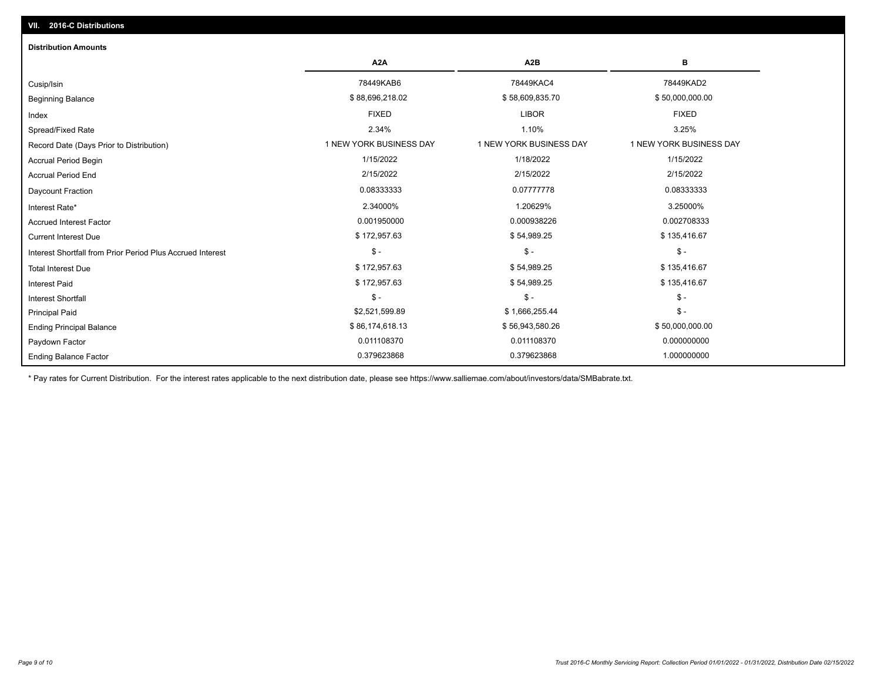## Ending Balance Factor Paydown Factor 0.011108370 0.011108370 0.000000000 Ending Principal Balance \$56,000,000.00 \$86,174,618.13 \$56,943,580.26 \$56,943,580.26 \$56,000,000.00 Principal Paid \$2,521,599.89 \$ 1,666,255.44 \$ - \$ - \$ - \$ - Interest Shortfall \$ 172,957.63 \$ 54,989.25 \$ 135,416.67 Interest Paid Total Interest Due \$ 172,957.63 \$ 54,989.25 \$ 135,416.67 \$ - \$ - \$ - Interest Shortfall from Prior Period Plus Accrued Interest Current Interest Due \$ 172,957.63 \$ 54,989.25 \$ 135,416.67 Accrued Interest Factor **2.0002708333** 0.001950000 0.001950000 0.000938226 0.000938226 0.002708333 Interest Rate\* 2.34000% 1.20629% 3.25000% Daycount Fraction 0.08333333 0.07777778 0.08333333 Accrual Period End 2/15/2022 2/15/2022 2/15/2022 Accrual Period Begin 1/15/2022 1/18/2022 1/15/2022 Record Date (Days Prior to Distribution) **1 NEW YORK BUSINESS DAY** 1 NEW YORK BUSINESS DAY 1 NEW YORK BUSINESS DAY Spread/Fixed Rate 2.34% 1.10% 3.25% Index FIXED LIBOR FIXED Beginning Balance \$ 88,696,218.02 \$ \$8,696,218.02 \$ \$58,609,835.70 \$ \$50,000,000.00 \$ \$50,000,000.00 Cusip/Isin 78449KAB6 78449KAC4 78449KAD2 **A2A A2B B** 0.379623868 0.379623868 1.000000000 **Distribution Amounts**

\* Pay rates for Current Distribution. For the interest rates applicable to the next distribution date, please see https://www.salliemae.com/about/investors/data/SMBabrate.txt.

**VII. 2016-C Distributions**